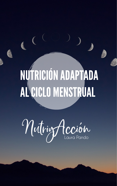## NUTRICIÓNADAPTADA ALCICLO MENSTRUAL

# MutringHecion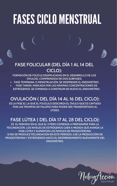- **FASE TEMPRANA: O MENSTRUACIÓN: SE DESPRENDE EL ENDOMETRIO.**
- **FASE TARDÍA: MARCADA POR LAS MÁXIMAS CONCENTRACIONES DE ESTRÓGENOS. SE COMIENZA A CONSTRUIR DE NUEVO EL ENDOMETRIO.**

## FASES CICLO MENSTRUAL

#### **FASE FOLICULAR (DEL DÍA 1 AL 14 DEL CICLO):**

**FORMACIÓN DE FOLÍCULOS(IMPLICADAS EN EL DESARROLLO DE LOS ÓVULOS), COMPRENDIDA EN DOS SUBFASES:**

#### **FASE LÚTEA ( DEL DÍA 17 AL 28 DEL CICLO):**

**ES EL PERIODO EN EL QUE EL ÚTERO COMIENZA A PREPARARSE PARA LA FECUNDACIÓN. LOS NIVELES DE ESTRÓGENOS CAEN A MEDIDA QUE AVANZA LA FASE LÚTEA Y AUMENTAN LOS NIVELES DE PROGESTERONA. SI NO SE PRODUCE FECUNDACIÓN EN ESTE PERIODO, CAE LA PRODUCCIÓN DE PROGESTERONA Y ESTRÓGENOS HASTA EL DESPRENDIMIENTO NUEVAMENTE DEL ENDOMETRIO.**



#### **OVULACIÓN ( DEL DÍA 14 AL 16 DEL CICLO):**

**ES LA FASE EL LA QUE EL FOLÍCULO DESCARGA EL ÓVULO QUE ES CAPTADO POR LAS TROMPAS DE FALOPIO PARA PODER SER TRANSPORTADO AL ÚTERO.**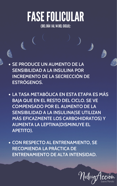#### (DEL DÍA 1 AL 14 DEL CICLO): FASE FOLICULAR

**SE PRODUCE UN AUMENTO DE LA SENSIBILIDAD A LA INSULINA POR INCREMENTO DE LA SECRECCIÓN DE ESTRÓGENOS.**

**LA TASA METABÓLICA EN ESTA ETAPA ES MÁS BAJA QUE EN EL RESTO DEL CICLO. SE VE COMPENSADO POR EL AUMENTO DE LA SENSIBILIDAD A LA INSULINA(SE UTILIZAN MÁS EFICAZMENTE LOS CARBOHIDRATOS) Y AUMENTA LA LEPTINA(DISMINUYE EL APETITO).**

**CON RESPECTO AL ENTRENAMIENTO, SE RECOMIENDA LA PRÁCTICA DE ENTRENAMIENTO DE ALTA INTENSIDAD.**

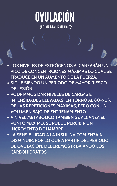- **LOS NIVELES DE ESTRÓGENOS ALCANZARÁN UN PICO DE CONCENTRCIONES MÁXIMAS LO CUAL SE TRADUCE EN UN AUMENTO DE LA FUERZA.**
- **SIGUE SIENDO UN PERIODO DE MAYOR RIESGO DE LESIÓN.**
- **PODRÍAMOS DAR NIVELES DE CARGAS E**

**INTENSIDADES ELEVADAS, EN TORNO AL 80-90% DE LAS REPETICIONES MÁXIMAS, PERO CON UN VOLUMEN BAJO DE ENTRENAMIENTO.**

### OVULACIÓN (DELDÍA14AL 16DELCICLO):

- **A NIVEL METABÓLICO TAMBIÉN SE ALCANZA EL PUNTO MÁXIMO, SE PUEDE PERCIBIR UN INCREMENTO DE HAMBRE.**
- **LA SENSIBILIDAD A LA INSULINA COMIENZA A DISMINUIR, POR LO QUE A PARTIR DEL PERIODO DE OVULACIÓN, DEBEREMOS IR BAJANDO LOS CARBOHIDRATOS.**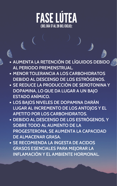- **AUMENTA LA RETENCIÓN DE LÍQUIDOS DEBIDO AL PERIODO PREMENSTRUAL.**
- **MENOR TOLERANCIA A LOS CARBOHIDRATOS DEBIDO AL DESCENSO DE LOS ESTRÓGENOS.**
- **SE REDUCE LA PRODUCCIÓN DE SEROTONINA Y DOPAMINA, LO QUE DA LUGAR A UN BAJO ESTADO ANÍMICO.**
- **LOS BAJOS NIVELES DE DOPAMINA DARÁN LUGAR AL INCREMENTO DE LOS ANTOJOS Y EL APETITO POR LOS CARBOHIDRATOS.**
- **DEBIDO AL DESCENSO DE LOS ESTRÓGENOS, Y SOBRE TODO AL AUMENTO DE LA PROGESTERONA, SE AUMENTA LA CAPACIDAD DE ALMACENAR GRASA.**
- **SE RECOMIENDA LA INGESTA DE ACIDOS GRASOS ESENCIALES PARA MEJORAR LA INFLAMACIÓN Y EL AMBIENTE HORMONAL.**

#### FASE LÚTEA (DELDÍA17AL28DELCICLO):